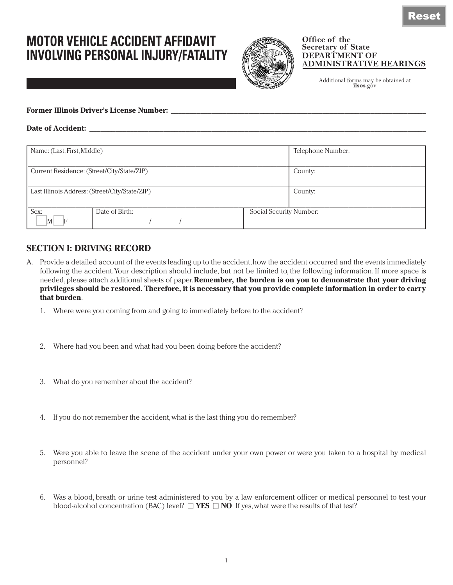## **MOTOR VEHICLE ACCIDENT AFFIDAVIT INVOLVING PERSONAL INJURY/FATALITY**



## **Office of the Secretary of State DEPARTMENT OF ADMINISTRATIVE HEARINGS**

Additional forms may be obtained at **ilsos**.gov

| <b>Former Illinois Driver's License Number:</b> |  |
|-------------------------------------------------|--|
|                                                 |  |

| <b>Date</b> |  |
|-------------|--|
|             |  |

| Name: (Last, First, Middle)                    |                |                         | Telephone Number: |
|------------------------------------------------|----------------|-------------------------|-------------------|
| Current Residence: (Street/City/State/ZIP)     |                |                         | County:           |
| Last Illinois Address: (Street/City/State/ZIP) |                | County:                 |                   |
| Sex:<br> M                                     | Date of Birth: | Social Security Number: |                   |

## **SECTION I: DRIVING RECORD**

- A. Provide a detailed account of the events leading up to the accident, how the accident occurred and the events immediately following the accident. Your description should include, but not be limited to, the following information. If more space is needed, please attach additional sheets of paper. **Remember, the burden is on you to demonstrate that your driving privileges should be restored. Therefore, it is necessary that you provide complete information in order to carry that burden**.
	- 1. Where were you coming from and going to immediately before to the accident?
	- 2. Where had you been and what had you been doing before the accident?
	- 3. What do you remember about the accident?
	- 4. If you do not remember the accident, what is the last thing you do remember?
	- 5. Were you able to leave the scene of the accident under your own power or were you taken to a hospital by medical personnel?
	- 6. Was a blood, breath or urine test administered to you by a law enforcement officer or medical personnel to test your blood-alcohol concentration (BAC) level?  $\Box$  **YES**  $\Box$  **NO** If yes, what were the results of that test?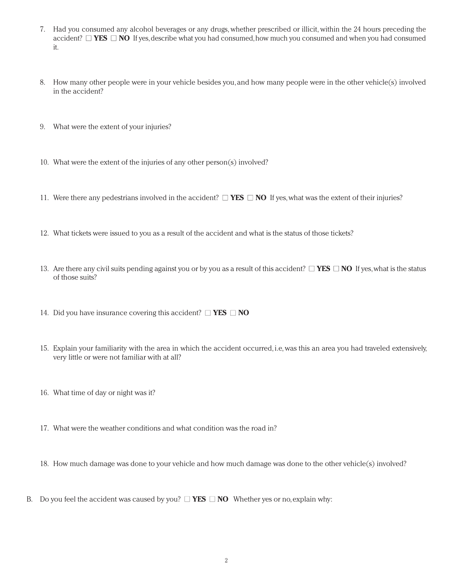- 7. Had you consumed any alcohol beverages or any drugs, whether prescribed or illicit, within the 24 hours preceding the accident? ■ **YES** ■ **NO** If yes, describe what you had consumed, how much you consumed and when you had consumed it.
- 8. How many other people were in your vehicle besides you, and how many people were in the other vehicle(s) involved in the accident?
- 9. What were the extent of your injuries?
- 10. What were the extent of the injuries of any other person(s) involved?
- 11. Were there any pedestrians involved in the accident?  $\Box$  **YES**  $\Box$  **NO** If yes, what was the extent of their injuries?
- 12. What tickets were issued to you as a result of the accident and what is the status of those tickets?
- 13. Are there any civil suits pending against you or by you as a result of this accident?  $\Box$  **YES**  $\Box$  **NO** If yes, what is the status of those suits?
- 14. Did you have insurance covering this accident?  $\Box$  **YES**  $\Box$  **NO**
- 15. Explain your familiarity with the area in which the accident occurred, i.e, was this an area you had traveled extensively, very little or were not familiar with at all?
- 16. What time of day or night was it?
- 17. What were the weather conditions and what condition was the road in?
- 18. How much damage was done to your vehicle and how much damage was done to the other vehicle(s) involved?
- B. Do you feel the accident was caused by you?  $\Box$  **YES**  $\Box$  **NO** Whether yes or no, explain why: